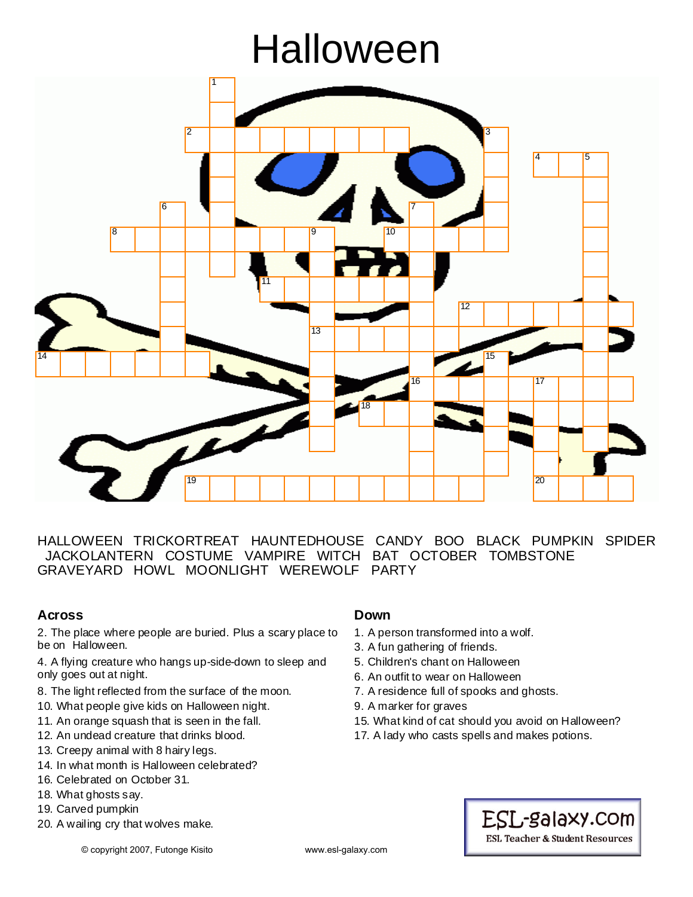# Halloween



HALLOWEEN TRICKORTREAT HAUNTEDHOUSE CANDY BOO BLACK PUMPKIN SPIDER JACKOLANTERN COSTUME VAMPIRE WITCH BAT OCTOBER TOMBSTONE GRAVEYARD HOWL MOONLIGHT WEREWOLF PARTY

## **Across**

2. The place where people are buried. Plus a scary place to be on Halloween.

4. A flying creature who hangs up-side-down to sleep and only goes out at night.

- 8. The light reflected from the surface of the moon.
- 10. What people give kids on Halloween night.
- 11. An orange squash that is seen in the fall.
- 12. An undead creature that drinks blood.
- 13. Creepy animal with 8 hairy legs.
- 14. In what month is Halloween celebrated?
- 16. Celebrated on October 31.
- 18. What ghosts say.
- 19. Carved pumpkin
- 20. A wailing cry that wolves make.

#### **Down**

- 1. A person transformed into a wolf.
- 3. A fun gathering of friends.
- 5. Children's chant on Halloween
- 6. An outfit to wear on Halloween
- 7. A residence full of spooks and ghosts.
- 9. A marker for graves
- 15. What kind of cat should you avoid on Halloween?
- 17. A lady who casts spells and makes potions.